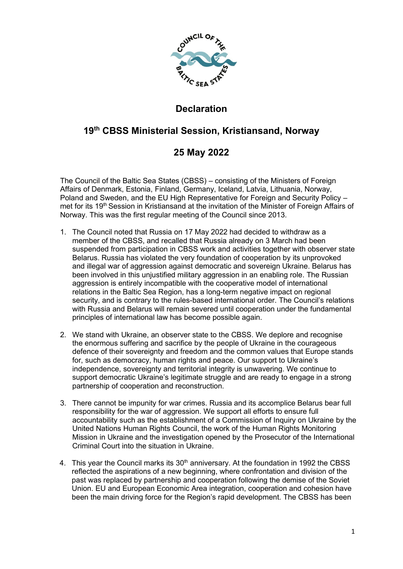

## **Declaration**

## **19th CBSS Ministerial Session, Kristiansand, Norway**

## **25 May 2022**

The Council of the Baltic Sea States (CBSS) – consisting of the Ministers of Foreign Affairs of Denmark, Estonia, Finland, Germany, Iceland, Latvia, Lithuania, Norway, Poland and Sweden, and the EU High Representative for Foreign and Security Policy – met for its 19<sup>th</sup> Session in Kristiansand at the invitation of the Minister of Foreign Affairs of Norway. This was the first regular meeting of the Council since 2013.

- 1. The Council noted that Russia on 17 May 2022 had decided to withdraw as a member of the CBSS, and recalled that Russia already on 3 March had been suspended from participation in CBSS work and activities together with observer state Belarus. Russia has violated the very foundation of cooperation by its unprovoked and illegal war of aggression against democratic and sovereign Ukraine. Belarus has been involved in this unjustified military aggression in an enabling role. The Russian aggression is entirely incompatible with the cooperative model of international relations in the Baltic Sea Region, has a long-term negative impact on regional security, and is contrary to the rules-based international order. The Council's relations with Russia and Belarus will remain severed until cooperation under the fundamental principles of international law has become possible again.
- 2. We stand with Ukraine, an observer state to the CBSS. We deplore and recognise the enormous suffering and sacrifice by the people of Ukraine in the courageous defence of their sovereignty and freedom and the common values that Europe stands for, such as democracy, human rights and peace. Our support to Ukraine's independence, sovereignty and territorial integrity is unwavering. We continue to support democratic Ukraine's legitimate struggle and are ready to engage in a strong partnership of cooperation and reconstruction.
- 3. There cannot be impunity for war crimes. Russia and its accomplice Belarus bear full responsibility for the war of aggression. We support all efforts to ensure full accountability such as the establishment of a Commission of Inquiry on Ukraine by the United Nations Human Rights Council, the work of the Human Rights Monitoring Mission in Ukraine and the investigation opened by the Prosecutor of the International Criminal Court into the situation in Ukraine.
- 4. This year the Council marks its 30<sup>th</sup> anniversary. At the foundation in 1992 the CBSS reflected the aspirations of a new beginning, where confrontation and division of the past was replaced by partnership and cooperation following the demise of the Soviet Union. EU and European Economic Area integration, cooperation and cohesion have been the main driving force for the Region's rapid development. The CBSS has been